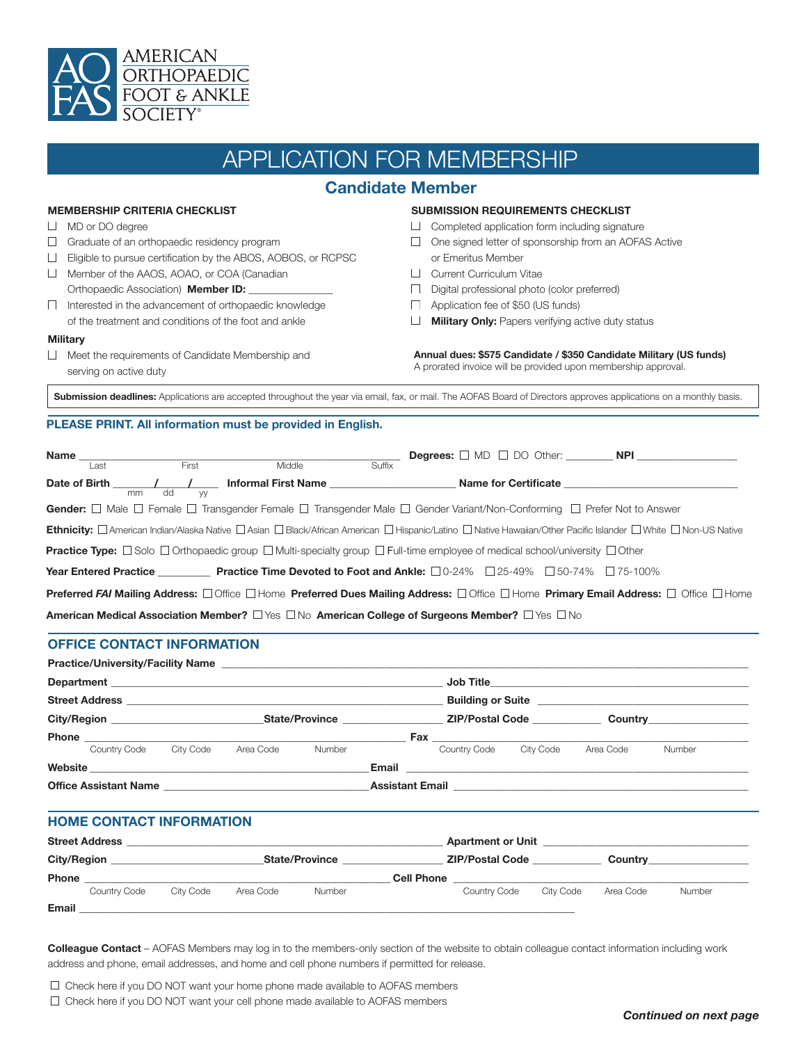

# APPLICATION FOR MEMBERSHIP

# **Candidate Member**

### **MEMBERSHIP CRITERIA CHECKLIST**

- $\Box$  MD or DO degree
- $\Box$  Graduate of an orthopaedic residency program
- Eligible to pursue certification by the ABOS, AOBOS, or RCPSC
- Member of the AAOS, AOAO, or COA (Canadian
- Orthopaedic Association) **Member ID:**
- $\Box$  Interested in the advancement of orthopaedic knowledge of the treatment and conditions of the foot and ankle

#### **Military**

Meet the requirements of Candidate Membership and serving on active duty

#### **SUBMISSION REQUIREMENTS CHECKLIST**

- Completed application form including signature
- □ One signed letter of sponsorship from an AOFAS Active or Emeritus Member
- **Current Curriculum Vitae**
- Digital professional photo (color preferred)
- Application fee of \$50 (US funds)
- **Military Only:** Papers verifying active duty status

**Annual dues: \$575 Candidate / \$350 Candidate Military (US funds)** A prorated invoice will be provided upon membership approval.

**Submission deadlines:** Applications are accepted throughout the year via email, fax, or mail. The AOFAS Board of Directors approves applications on a monthly basis.

### **PLEASE PRINT. All information must be provided in English.**

|                                                                                                                                                                              | Last | First           | Middle                                       | Suffix |                                                                                                                                                      |                                          |  |  |
|------------------------------------------------------------------------------------------------------------------------------------------------------------------------------|------|-----------------|----------------------------------------------|--------|------------------------------------------------------------------------------------------------------------------------------------------------------|------------------------------------------|--|--|
|                                                                                                                                                                              | mm   | dd<br><b>VV</b> | Date of Birth Theory Andrew Manus Pirst Name |        |                                                                                                                                                      | Name for Certificate <b>Example 2018</b> |  |  |
|                                                                                                                                                                              |      |                 |                                              |        | Gender: $\Box$ Male $\Box$ Female $\Box$ Transgender Female $\Box$ Transgender Male $\Box$ Gender Variant/Non-Conforming $\Box$ Prefer Not to Answer |                                          |  |  |
| Ethnicity: <b>D</b> American Indian/Alaska Native D Asian D Black/African American D Hispanic/Latino D Native Hawaiian/Other Pacific Islander D White D Non-US Native        |      |                 |                                              |        |                                                                                                                                                      |                                          |  |  |
| <b>Practice Type:</b> $\Box$ Solo $\Box$ Orthopaedic group $\Box$ Multi-specialty group $\Box$ Full-time employee of medical school/university $\Box$ Other                  |      |                 |                                              |        |                                                                                                                                                      |                                          |  |  |
|                                                                                                                                                                              |      |                 |                                              |        | <b>Year Entered Practice State of Practice Time Devoted to Foot and Ankle:</b> $\square$ 0-24% $\square$ 25-49% $\square$ 75-100% $\square$ 75-100%  |                                          |  |  |
| <b>Preferred FAI Mailing Address:</b> $\Box$ Office $\Box$ Home <b>Preferred Dues Mailing Address:</b> $\Box$ Office <b>Primary Email Address:</b> $\Box$ Office $\Box$ Home |      |                 |                                              |        |                                                                                                                                                      |                                          |  |  |
| American Medical Association Member? $\Box$ Yes $\Box$ No American College of Surgeons Member? $\Box$ Yes $\Box$ No                                                          |      |                 |                                              |        |                                                                                                                                                      |                                          |  |  |

### **OFFICE CONTACT INFORMATION**

| <b>Street Address</b>          |           |           |        |                                    |                                                         |                      |           |                        |  |
|--------------------------------|-----------|-----------|--------|------------------------------------|---------------------------------------------------------|----------------------|-----------|------------------------|--|
| City/Region <b>City/Region</b> |           |           |        | State/Province <b>Example 2018</b> |                                                         | ZIP/Postal Code 2011 |           | <b>Country Country</b> |  |
|                                |           |           |        |                                    |                                                         |                      |           |                        |  |
| Country Code                   | City Code | Area Code | Number |                                    | Country Code City Code                                  |                      | Area Code | Number                 |  |
| Website                        |           |           |        |                                    | <b>Email Exercise Email</b>                             |                      |           |                        |  |
| Office Assistant Name          |           |           |        |                                    | Assistant Email <u>Communication and Communications</u> |                      |           |                        |  |

# **HOME CONTACT INFORMATION**

| <b>Street Address</b> |              |           |           |                       | <b>Apartment or Unit</b> |                        |           |           |        |
|-----------------------|--------------|-----------|-----------|-----------------------|--------------------------|------------------------|-----------|-----------|--------|
| <b>City/Region</b>    |              |           |           | <b>State/Province</b> |                          | <b>ZIP/Postal Code</b> |           | Country   |        |
| <b>Phone</b>          |              |           |           |                       | <b>Cell Phone</b>        |                        |           |           |        |
|                       | Country Code | City Code | Area Code | Number                |                          | Country Code           | City Code | Area Code | Number |
| Email                 |              |           |           |                       |                          |                        |           |           |        |

**Colleague Contact** – AOFAS Members may log in to the members-only section of the website to obtain colleague contact information including work address and phone, email addresses, and home and cell phone numbers if permitted for release.

 $\Box$  Check here if you DO NOT want your home phone made available to AOFAS members

 $\Box$  Check here if you DO NOT want your cell phone made available to AOFAS members